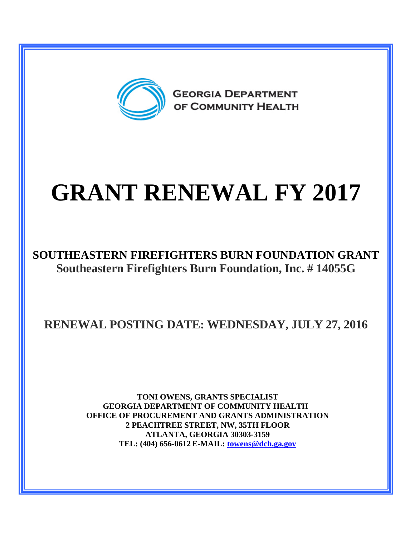

# **GRANT RENEWAL FY 2017**

### **SOUTHEASTERN FIREFIGHTERS BURN FOUNDATION GRANT Southeastern Firefighters Burn Foundation, Inc. # 14055G**

**RENEWAL POSTING DATE: WEDNESDAY, JULY 27, 2016**

**TONI OWENS, GRANTS SPECIALIST GEORGIA DEPARTMENT OF COMMUNITY HEALTH OFFICE OF PROCUREMENT AND GRANTS ADMINISTRATION 2 PEACHTREE STREET, NW, 35TH FLOOR ATLANTA, GEORGIA 30303-3159 TEL: (404) 656-0612 E-MAIL: [towens@dch.ga.gov](mailto:towens@dch.ga.gov)**